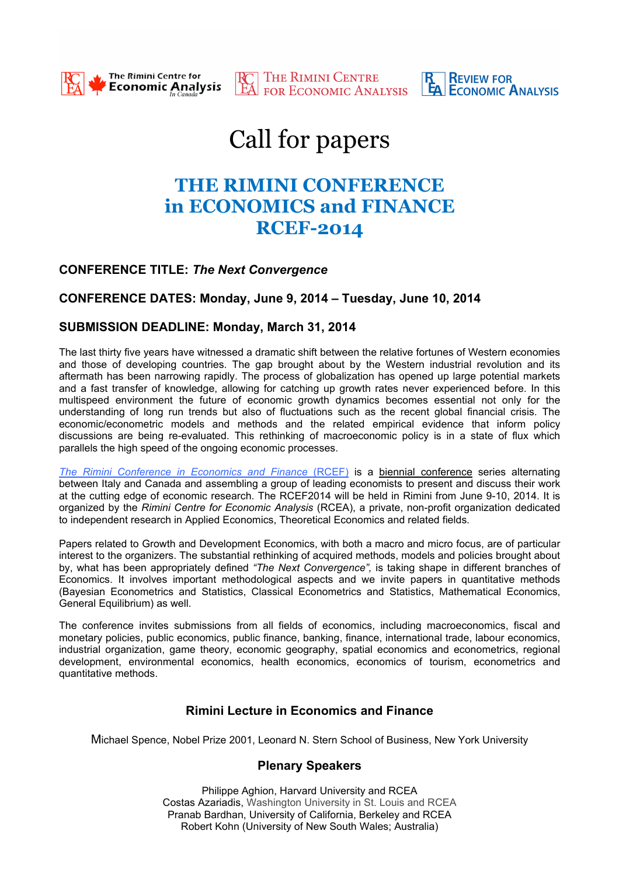

**RESEAU THE RIMINI CENTRE REVIEW FOR SEXULAR POR ECONOMIC ANALYSIS** 

# Call for papers

# **THE RIMINI CONFERENCE in ECONOMICS and FINANCE RCEF-2014**

## **CONFERENCE TITLE:** *The Next Convergence*

## **CONFERENCE DATES: Monday, June 9, 2014 – Tuesday, June 10, 2014**

#### **SUBMISSION DEADLINE: Monday, March 31, 2014**

The last thirty five years have witnessed a dramatic shift between the relative fortunes of Western economies and those of developing countries. The gap brought about by the Western industrial revolution and its aftermath has been narrowing rapidly. The process of globalization has opened up large potential markets and a fast transfer of knowledge, allowing for catching up growth rates never experienced before. In this multispeed environment the future of economic growth dynamics becomes essential not only for the understanding of long run trends but also of fluctuations such as the recent global financial crisis. The economic/econometric models and methods and the related empirical evidence that inform policy discussions are being re-evaluated. This rethinking of macroeconomic policy is in a state of flux which parallels the high speed of the ongoing economic processes.

*The Rimini Conference in Economics and Finance* (RCEF) is a biennial conference series alternating between Italy and Canada and assembling a group of leading economists to present and discuss their work at the cutting edge of economic research. The RCEF2014 will be held in Rimini from June 9-10, 2014. It is organized by the *Rimini Centre for Economic Analysis* (RCEA), a private, non-profit organization dedicated to independent research in Applied Economics, Theoretical Economics and related fields.

Papers related to Growth and Development Economics, with both a macro and micro focus, are of particular interest to the organizers. The substantial rethinking of acquired methods, models and policies brought about by, what has been appropriately defined *"The Next Convergence",* is taking shape in different branches of Economics. It involves important methodological aspects and we invite papers in quantitative methods (Bayesian Econometrics and Statistics, Classical Econometrics and Statistics, Mathematical Economics, General Equilibrium) as well.

The conference invites submissions from all fields of economics, including macroeconomics, fiscal and monetary policies, public economics, public finance, banking, finance, international trade, labour economics, industrial organization, game theory, economic geography, spatial economics and econometrics, regional development, environmental economics, health economics, economics of tourism, econometrics and quantitative methods.

## **Rimini Lecture in Economics and Finance**

Michael Spence, Nobel Prize 2001, Leonard N. Stern School of Business, New York University

## **Plenary Speakers**

Philippe Aghion, Harvard University and RCEA Costas Azariadis, Washington University in St. Louis and RCEA Pranab Bardhan, University of California, Berkeley and RCEA Robert Kohn (University of New South Wales; Australia)